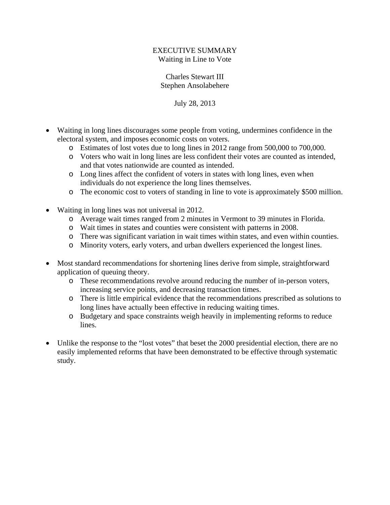## EXECUTIVE SUMMARY Waiting in Line to Vote

## Charles Stewart III Stephen Ansolabehere

July 28, 2013

- Waiting in long lines discourages some people from voting, undermines confidence in the electoral system, and imposes economic costs on voters.
	- o Estimates of lost votes due to long lines in 2012 range from 500,000 to 700,000.
	- o Voters who wait in long lines are less confident their votes are counted as intended, and that votes nationwide are counted as intended.
	- o Long lines affect the confident of voters in states with long lines, even when individuals do not experience the long lines themselves.
	- o The economic cost to voters of standing in line to vote is approximately \$500 million.
- Waiting in long lines was not universal in 2012.
	- o Average wait times ranged from 2 minutes in Vermont to 39 minutes in Florida.
	- o Wait times in states and counties were consistent with patterns in 2008.
	- o There was significant variation in wait times within states, and even within counties.
	- o Minority voters, early voters, and urban dwellers experienced the longest lines.
- Most standard recommendations for shortening lines derive from simple, straightforward application of queuing theory.
	- o These recommendations revolve around reducing the number of in-person voters, increasing service points, and decreasing transaction times.
	- o There is little empirical evidence that the recommendations prescribed as solutions to long lines have actually been effective in reducing waiting times.
	- o Budgetary and space constraints weigh heavily in implementing reforms to reduce lines.
- Unlike the response to the "lost votes" that beset the 2000 presidential election, there are no easily implemented reforms that have been demonstrated to be effective through systematic study.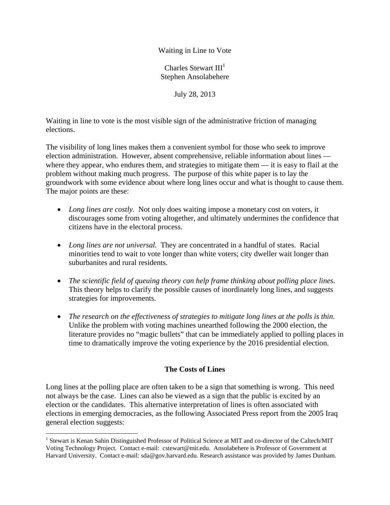Waiting in Line to Vote

Charles Stewart III<sup>1</sup> Stephen Ansolabehere

July 28, 2013

Waiting in line to vote is the most visible sign of the administrative friction of managing elections.

The visibility of long lines makes them a convenient symbol for those who seek to improve election administration. However, absent comprehensive, reliable information about lines where they appear, who endures them, and strategies to mitigate them — it is easy to flail at the problem without making much progress. The purpose of this white paper is to lay the groundwork with some evidence about where long lines occur and what is thought to cause them. The major points are these:

- *Long lines are costly.* Not only does waiting impose a monetary cost on voters, it discourages some from voting altogether, and ultimately undermines the confidence that citizens have in the electoral process.
- *Long lines are not universal.* They are concentrated in a handful of states. Racial minorities tend to wait to vote longer than white voters; city dweller wait longer than suburbanites and rural residents.
- *The scientific field of queuing theory can help frame thinking about polling place lines.* This theory helps to clarify the possible causes of inordinately long lines, and suggests strategies for improvements.
- *The research on the effectiveness of strategies to mitigate long lines at the polls is thin.* Unlike the problem with voting machines unearthed following the 2000 election, the literature provides no "magic bullets" that can be immediately applied to polling places in time to dramatically improve the voting experience by the 2016 presidential election.

## **The Costs of Lines**

Long lines at the polling place are often taken to be a sign that something is wrong. This need not always be the case. Lines can also be viewed as a sign that the public is excited by an election or the candidates. This alternative interpretation of lines is often associated with elections in emerging democracies, as the following Associated Press report from the 2005 Iraq general election suggests:

 $\overline{a}$ <sup>1</sup> Stewart is Kenan Sahin Distinguished Professor of Political Science at MIT and co-director of the Caltech/MIT Voting Technology Project. Contact e-mail: cstewart@mit.edu. Ansolabehere is Professor of Government at Harvard University. Contact e-mail: sda@gov.harvard.edu. Research assistance was provided by James Dunham.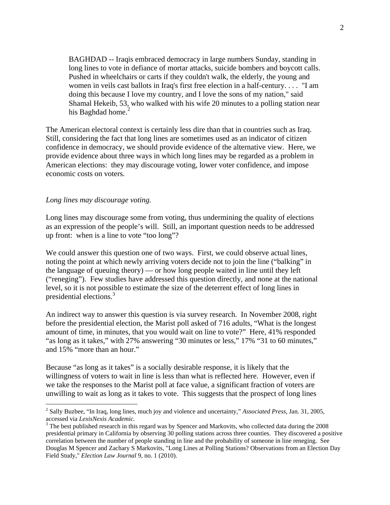BAGHDAD -- Iraqis embraced democracy in large numbers Sunday, standing in long lines to vote in defiance of mortar attacks, suicide bombers and boycott calls. Pushed in wheelchairs or carts if they couldn't walk, the elderly, the young and women in veils cast ballots in Iraq's first free election in a half-century. . . . "I am doing this because I love my country, and I love the sons of my nation," said Shamal Hekeib, 53, who walked with his wife 20 minutes to a polling station near his Baghdad home. $<sup>2</sup>$ </sup>

The American electoral context is certainly less dire than that in countries such as Iraq. Still, considering the fact that long lines are sometimes used as an indicator of citizen confidence in democracy, we should provide evidence of the alternative view. Here, we provide evidence about three ways in which long lines may be regarded as a problem in American elections: they may discourage voting, lower voter confidence, and impose economic costs on voters.

#### *Long lines may discourage voting.*

 $\overline{a}$ 

Long lines may discourage some from voting, thus undermining the quality of elections as an expression of the people's will. Still, an important question needs to be addressed up front: when is a line to vote "too long"?

We could answer this question one of two ways. First, we could observe actual lines, noting the point at which newly arriving voters decide not to join the line ("balking" in the language of queuing theory) — or how long people waited in line until they left ("reneging"). Few studies have addressed this question directly, and none at the national level, so it is not possible to estimate the size of the deterrent effect of long lines in presidential elections.3

An indirect way to answer this question is via survey research. In November 2008, right before the presidential election, the Marist poll asked of 716 adults, "What is the longest amount of time, in minutes, that you would wait on line to vote?" Here, 41% responded "as long as it takes," with 27% answering "30 minutes or less," 17% "31 to 60 minutes," and 15% "more than an hour."

Because "as long as it takes" is a socially desirable response, it is likely that the willingness of voters to wait in line is less than what is reflected here. However, even if we take the responses to the Marist poll at face value, a significant fraction of voters are unwilling to wait as long as it takes to vote. This suggests that the prospect of long lines

<sup>2</sup> Sally Buzbee, "In Iraq, long lines, much joy and violence and uncertainty," *Associated Press,* Jan. 31, 2005, accessed via *LexisNexis Academic.* <sup>3</sup>

<sup>&</sup>lt;sup>3</sup> The best published research in this regard was by Spencer and Markovits, who collected data during the 2008 presidential primary in California by observing 30 polling stations across three counties. They discovered a positive correlation between the number of people standing in line and the probability of someone in line reneging. See Douglas M Spencer and Zachary S Markovits, "Long Lines at Polling Stations? Observations from an Election Day Field Study," *Election Law Journal* 9, no. 1 (2010).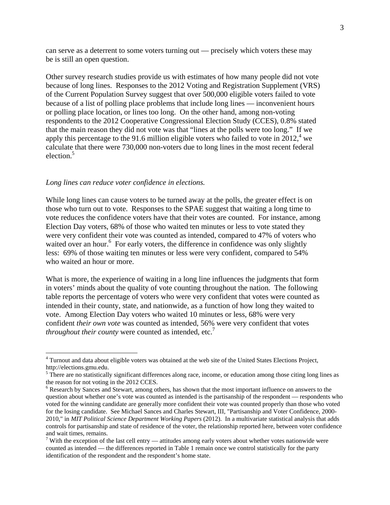can serve as a deterrent to some voters turning out — precisely which voters these may be is still an open question.

Other survey research studies provide us with estimates of how many people did not vote because of long lines. Responses to the 2012 Voting and Registration Supplement (VRS) of the Current Population Survey suggest that over 500,000 eligible voters failed to vote because of a list of polling place problems that include long lines — inconvenient hours or polling place location, or lines too long. On the other hand, among non-voting respondents to the 2012 Cooperative Congressional Election Study (CCES), 0.8% stated that the main reason they did not vote was that "lines at the polls were too long." If we apply this percentage to the 91.6 million eligible voters who failed to vote in  $2012<sup>4</sup>$  we calculate that there were 730,000 non-voters due to long lines in the most recent federal election.<sup>5</sup>

#### *Long lines can reduce voter confidence in elections.*

 $\overline{a}$ 

While long lines can cause voters to be turned away at the polls, the greater effect is on those who turn out to vote. Responses to the SPAE suggest that waiting a long time to vote reduces the confidence voters have that their votes are counted. For instance, among Election Day voters, 68% of those who waited ten minutes or less to vote stated they were very confident their vote was counted as intended, compared to 47% of voters who waited over an hour.<sup>6</sup> For early voters, the difference in confidence was only slightly less: 69% of those waiting ten minutes or less were very confident, compared to 54% who waited an hour or more.

What is more, the experience of waiting in a long line influences the judgments that form in voters' minds about the quality of vote counting throughout the nation. The following table reports the percentage of voters who were very confident that votes were counted as intended in their county, state, and nationwide, as a function of how long they waited to vote. Among Election Day voters who waited 10 minutes or less, 68% were very confident *their own vote* was counted as intended, 56% were very confident that votes *throughout their county* were counted as intended, etc.<sup>7</sup>

<sup>&</sup>lt;sup>4</sup> Turnout and data about eligible voters was obtained at the web site of the United States Elections Project, http://elections.gmu.edu.

<sup>&</sup>lt;sup>5</sup> There are no statistically significant differences along race, income, or education among those citing long lines as the reason for not voting in the 2012 CCES.

<sup>&</sup>lt;sup>6</sup> Research by Sances and Stewart, among others, has shown that the most important influence on answers to the question about whether one's vote was counted as intended is the partisanship of the respondent — respondents who voted for the winning candidate are generally more confident their vote was counted properly than those who voted for the losing candidate. See Michael Sances and Charles Stewart, III, "Partisanship and Voter Confidence, 2000- 2010," in *MIT Political Science Department Working Papers* (2012). In a multivariate statistical analysis that adds controls for partisanship and state of residence of the voter, the relationship reported here, between voter confidence and wait times, remains.

<sup>&</sup>lt;sup>7</sup> With the exception of the last cell entry — attitudes among early voters about whether votes nationwide were counted as intended — the differences reported in Table 1 remain once we control statistically for the party identification of the respondent and the respondent's home state.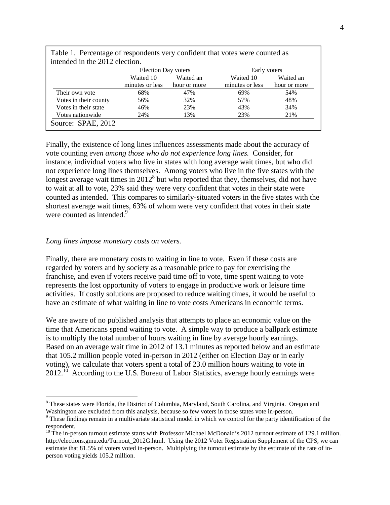|                       | <b>Election Day voters</b>   |                           | Early voters                 |                           |  |
|-----------------------|------------------------------|---------------------------|------------------------------|---------------------------|--|
|                       | Waited 10<br>minutes or less | Waited an<br>hour or more | Waited 10<br>minutes or less | Waited an<br>hour or more |  |
| Their own vote        | 68%                          | 47%                       | 69%                          | 54%                       |  |
| Votes in their county | 56%                          | 32%                       | 57%                          | 48%                       |  |
| Votes in their state  | 46%                          | 23%                       | 43%                          | 34%                       |  |
| Votes nationwide      | 24%                          | 13%                       | 23%                          | 21%                       |  |

Table 1. Percentage of respondents very confident that votes were counted as

Finally, the existence of long lines influences assessments made about the accuracy of vote counting *even among those who do not experience long lines.* Consider, for instance, individual voters who live in states with long average wait times, but who did not experience long lines themselves. Among voters who live in the five states with the longest average wait times in  $2012<sup>8</sup>$  but who reported that they, themselves, did not have to wait at all to vote, 23% said they were very confident that votes in their state were counted as intended. This compares to similarly-situated voters in the five states with the shortest average wait times, 63% of whom were very confident that votes in their state were counted as intended.<sup>9</sup>

#### *Long lines impose monetary costs on voters.*

 $\overline{a}$ 

Finally, there are monetary costs to waiting in line to vote. Even if these costs are regarded by voters and by society as a reasonable price to pay for exercising the franchise, and even if voters receive paid time off to vote, time spent waiting to vote represents the lost opportunity of voters to engage in productive work or leisure time activities. If costly solutions are proposed to reduce waiting times, it would be useful to have an estimate of what waiting in line to vote costs Americans in economic terms.

We are aware of no published analysis that attempts to place an economic value on the time that Americans spend waiting to vote. A simple way to produce a ballpark estimate is to multiply the total number of hours waiting in line by average hourly earnings. Based on an average wait time in 2012 of 13.1 minutes as reported below and an estimate that 105.2 million people voted in-person in 2012 (either on Election Day or in early voting), we calculate that voters spent a total of 23.0 million hours waiting to vote in  $2012$ <sup>10</sup> According to the U.S. Bureau of Labor Statistics, average hourly earnings were

<sup>&</sup>lt;sup>8</sup> These states were Florida, the District of Columbia, Maryland, South Carolina, and Virginia. Oregon and Washington are excluded from this analysis, because so few voters in those states vote in-person.

<sup>&</sup>lt;sup>9</sup> These findings remain in a multivariate statistical model in which we control for the party identification of the respondent.

 $10$  The in-person turnout estimate starts with Professor Michael McDonald's 2012 turnout estimate of 129.1 million. http://elections.gmu.edu/Turnout 2012G.html. Using the 2012 Voter Registration Supplement of the CPS, we can estimate that 81.5% of voters voted in-person. Multiplying the turnout estimate by the estimate of the rate of inperson voting yields 105.2 million.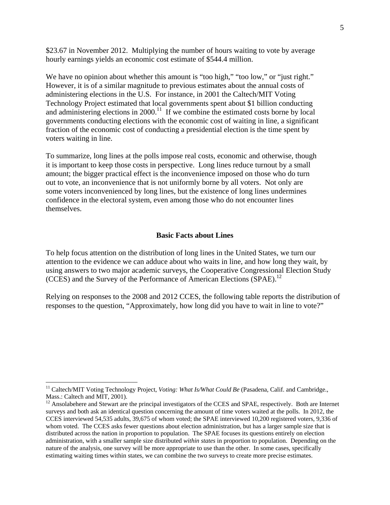\$23.67 in November 2012. Multiplying the number of hours waiting to vote by average hourly earnings yields an economic cost estimate of \$544.4 million.

We have no opinion about whether this amount is "too high," "too low," or "just right." However, it is of a similar magnitude to previous estimates about the annual costs of administering elections in the U.S. For instance, in 2001 the Caltech/MIT Voting Technology Project estimated that local governments spent about \$1 billion conducting and administering elections in 2000.<sup>11</sup> If we combine the estimated costs borne by local governments conducting elections with the economic cost of waiting in line, a significant fraction of the economic cost of conducting a presidential election is the time spent by voters waiting in line.

To summarize, long lines at the polls impose real costs, economic and otherwise, though it is important to keep those costs in perspective. Long lines reduce turnout by a small amount; the bigger practical effect is the inconvenience imposed on those who do turn out to vote, an inconvenience that is not uniformly borne by all voters. Not only are some voters inconvenienced by long lines, but the existence of long lines undermines confidence in the electoral system, even among those who do not encounter lines themselves.

#### **Basic Facts about Lines**

To help focus attention on the distribution of long lines in the United States, we turn our attention to the evidence we can adduce about who waits in line, and how long they wait, by using answers to two major academic surveys, the Cooperative Congressional Election Study (CCES) and the Survey of the Performance of American Elections (SPAE).<sup>12</sup>

Relying on responses to the 2008 and 2012 CCES, the following table reports the distribution of responses to the question, "Approximately, how long did you have to wait in line to vote?"

 $\overline{a}$ 

<sup>&</sup>lt;sup>11</sup> Caltech/MIT Voting Technology Project, *Voting: What Is/What Could Be* (Pasadena, Calif. and Cambridge., Mass.: Caltech and MIT, 2001).

<sup>&</sup>lt;sup>12</sup> Ansolabehere and Stewart are the principal investigators of the CCES and SPAE, respectively. Both are Internet surveys and both ask an identical question concerning the amount of time voters waited at the polls. In 2012, the CCES interviewed 54,535 adults, 39,675 of whom voted; the SPAE interviewed 10,200 registered voters, 9,336 of whom voted. The CCES asks fewer questions about election administration, but has a larger sample size that is distributed across the nation in proportion to population. The SPAE focuses its questions entirely on election administration, with a smaller sample size distributed *within states* in proportion to population. Depending on the nature of the analysis, one survey will be more appropriate to use than the other. In some cases, specifically estimating waiting times within states, we can combine the two surveys to create more precise estimates.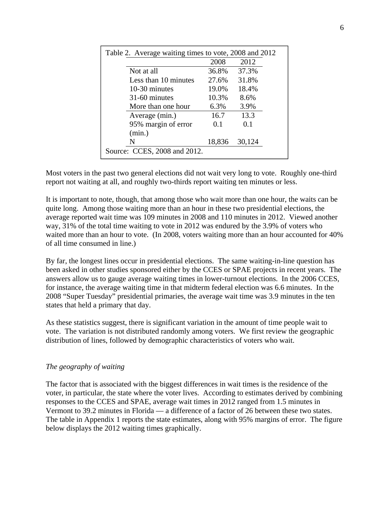| Table 2. Average waiting times to vote, 2008 and 2012 |        |        |  |  |  |  |
|-------------------------------------------------------|--------|--------|--|--|--|--|
|                                                       | 2008   | 2012   |  |  |  |  |
| Not at all                                            | 36.8%  | 37.3%  |  |  |  |  |
| Less than 10 minutes                                  | 27.6%  | 31.8%  |  |  |  |  |
| 10-30 minutes                                         | 19.0%  | 18.4%  |  |  |  |  |
| 31-60 minutes                                         | 10.3%  | 8.6%   |  |  |  |  |
| More than one hour                                    | 6.3%   | 3.9%   |  |  |  |  |
| Average (min.)                                        | 16.7   | 13.3   |  |  |  |  |
| 95% margin of error                                   | 0.1    | 0.1    |  |  |  |  |
| (min.)                                                |        |        |  |  |  |  |
| N                                                     | 18,836 | 30,124 |  |  |  |  |
| Source: CCES, 2008 and 2012.                          |        |        |  |  |  |  |

Most voters in the past two general elections did not wait very long to vote. Roughly one-third report not waiting at all, and roughly two-thirds report waiting ten minutes or less.

It is important to note, though, that among those who wait more than one hour, the waits can be quite long. Among those waiting more than an hour in these two presidential elections, the average reported wait time was 109 minutes in 2008 and 110 minutes in 2012. Viewed another way, 31% of the total time waiting to vote in 2012 was endured by the 3.9% of voters who waited more than an hour to vote. (In 2008, voters waiting more than an hour accounted for 40% of all time consumed in line.)

By far, the longest lines occur in presidential elections. The same waiting-in-line question has been asked in other studies sponsored either by the CCES or SPAE projects in recent years. The answers allow us to gauge average waiting times in lower-turnout elections. In the 2006 CCES, for instance, the average waiting time in that midterm federal election was 6.6 minutes. In the 2008 "Super Tuesday" presidential primaries, the average wait time was 3.9 minutes in the ten states that held a primary that day.

As these statistics suggest, there is significant variation in the amount of time people wait to vote. The variation is not distributed randomly among voters. We first review the geographic distribution of lines, followed by demographic characteristics of voters who wait.

## *The geography of waiting*

The factor that is associated with the biggest differences in wait times is the residence of the voter, in particular, the state where the voter lives. According to estimates derived by combining responses to the CCES and SPAE, average wait times in 2012 ranged from 1.5 minutes in Vermont to 39.2 minutes in Florida — a difference of a factor of 26 between these two states. The table in Appendix 1 reports the state estimates, along with 95% margins of error. The figure below displays the 2012 waiting times graphically.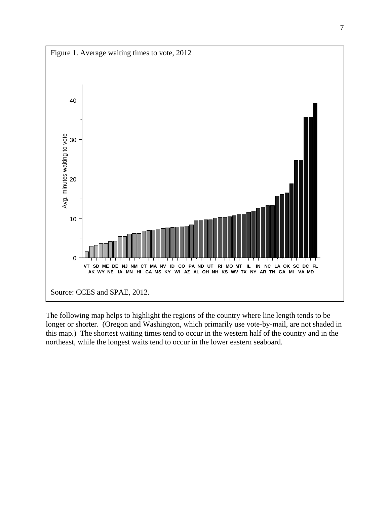

The following map helps to highlight the regions of the country where line length tends to be longer or shorter. (Oregon and Washington, which primarily use vote-by-mail, are not shaded in this map.) The shortest waiting times tend to occur in the western half of the country and in the northeast, while the longest waits tend to occur in the lower eastern seaboard.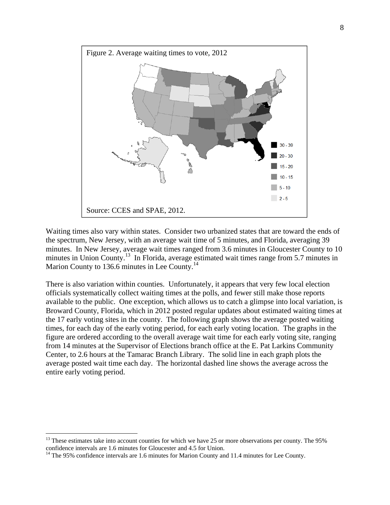

Waiting times also vary within states. Consider two urbanized states that are toward the ends of the spectrum, New Jersey, with an average wait time of 5 minutes, and Florida, averaging 39 minutes. In New Jersey, average wait times ranged from 3.6 minutes in Gloucester County to 10 minutes in Union County.<sup>13</sup> In Florida, average estimated wait times range from 5.7 minutes in Marion County to 136.6 minutes in Lee County.<sup>14</sup>

There is also variation within counties. Unfortunately, it appears that very few local election officials systematically collect waiting times at the polls, and fewer still make those reports available to the public. One exception, which allows us to catch a glimpse into local variation, is Broward County, Florida, which in 2012 posted regular updates about estimated waiting times at the 17 early voting sites in the county. The following graph shows the average posted waiting times, for each day of the early voting period, for each early voting location. The graphs in the figure are ordered according to the overall average wait time for each early voting site, ranging from 14 minutes at the Supervisor of Elections branch office at the E. Pat Larkins Community Center, to 2.6 hours at the Tamarac Branch Library. The solid line in each graph plots the average posted wait time each day. The horizontal dashed line shows the average across the entire early voting period.

 $\overline{a}$ 

<sup>&</sup>lt;sup>13</sup> These estimates take into account counties for which we have 25 or more observations per county. The 95% confidence intervals are 1.6 minutes for Gloucester and 4.5 for Union.<br><sup>14</sup> The 95% confidence intervals are 1.6 minutes for Marion County and 11.4 minutes for Lee County.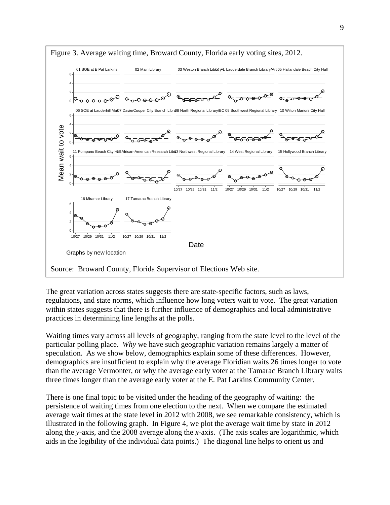

The great variation across states suggests there are state-specific factors, such as laws, regulations, and state norms, which influence how long voters wait to vote. The great variation within states suggests that there is further influence of demographics and local administrative practices in determining line lengths at the polls.

Waiting times vary across all levels of geography, ranging from the state level to the level of the particular polling place. *Why* we have such geographic variation remains largely a matter of speculation. As we show below, demographics explain some of these differences. However, demographics are insufficient to explain why the average Floridian waits 26 times longer to vote than the average Vermonter, or why the average early voter at the Tamarac Branch Library waits three times longer than the average early voter at the E. Pat Larkins Community Center.

There is one final topic to be visited under the heading of the geography of waiting: the persistence of waiting times from one election to the next. When we compare the estimated average wait times at the state level in 2012 with 2008, we see remarkable consistency, which is illustrated in the following graph. In Figure 4, we plot the average wait time by state in 2012 along the *y-*axis, and the 2008 average along the *x-*axis. (The axis scales are logarithmic, which aids in the legibility of the individual data points.) The diagonal line helps to orient us and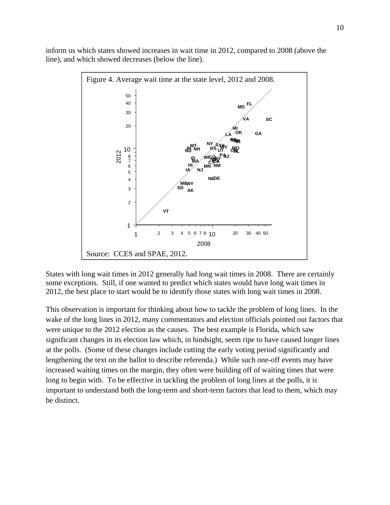inform us which states showed increases in wait time in 2012, compared to 2008 (above the line), and which showed decreases (below the line).



States with long wait times in 2012 generally had long wait times in 2008. There are certainly some exceptions. Still, if one wanted to predict which states would have long wait times in 2012, the best place to start would be to identify those states with long wait times in 2008.

This observation is important for thinking about how to tackle the problem of long lines. In the wake of the long lines in 2012, many commentators and election officials pointed out factors that were unique to the 2012 election as the causes. The best example is Florida, which saw significant changes in its election law which, in hindsight, seem ripe to have caused longer lines at the polls. (Some of these changes include cutting the early voting period significantly and lengthening the text on the ballot to describe referenda.) While such one-off events may have increased waiting times on the margin, they often were building off of waiting times that were long to begin with. To be effective in tackling the problem of long lines at the polls, it is important to understand both the long-term and short-term factors that lead to them, which may be distinct.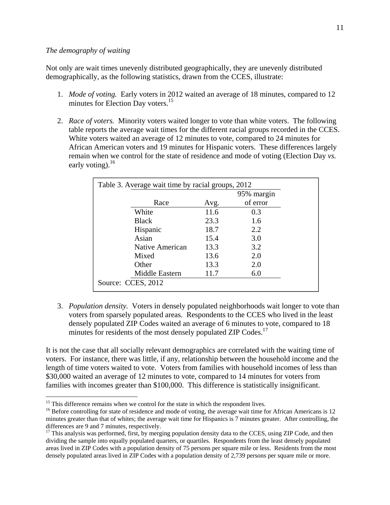#### *The demography of waiting*

 $\overline{a}$ 

Not only are wait times unevenly distributed geographically, they are unevenly distributed demographically, as the following statistics, drawn from the CCES, illustrate:

- 1. *Mode of voting.* Early voters in 2012 waited an average of 18 minutes, compared to 12 minutes for Election Day voters.<sup>15</sup>
- 2. *Race of voters.* Minority voters waited longer to vote than white voters. The following table reports the average wait times for the different racial groups recorded in the CCES. White voters waited an average of 12 minutes to vote, compared to 24 minutes for African American voters and 19 minutes for Hispanic voters. These differences largely remain when we control for the state of residence and mode of voting (Election Day *vs.* early voting).  $^{16}$

| Table 3. Average wait time by racial groups, 2012 |      | 95% margin |
|---------------------------------------------------|------|------------|
| Race                                              | Avg. | of error   |
| White                                             | 11.6 | 0.3        |
| <b>Black</b>                                      | 23.3 | 1.6        |
| Hispanic                                          | 18.7 | 2.2        |
| Asian                                             | 15.4 | 3.0        |
| Native American                                   | 13.3 | 3.2        |
| Mixed                                             | 13.6 | 2.0        |
| Other                                             | 13.3 | 2.0        |
| Middle Eastern                                    | 11.7 | 6.0        |
| Source: CCES, 2012                                |      |            |

3. *Population density.* Voters in densely populated neighborhoods wait longer to vote than voters from sparsely populated areas. Respondents to the CCES who lived in the least densely populated ZIP Codes waited an average of 6 minutes to vote, compared to 18 minutes for residents of the most densely populated ZIP Codes.<sup>17</sup>

It is not the case that all socially relevant demographics are correlated with the waiting time of voters. For instance, there was little, if any, relationship between the household income and the length of time voters waited to vote. Voters from families with household incomes of less than \$30,000 waited an average of 12 minutes to vote, compared to 14 minutes for voters from families with incomes greater than \$100,000. This difference is statistically insignificant.

 $15$  This difference remains when we control for the state in which the respondent lives.

<sup>&</sup>lt;sup>16</sup> Before controlling for state of residence and mode of voting, the average wait time for African Americans is 12 minutes greater than that of whites; the average wait time for Hispanics is 7 minutes greater. After controlling, the differences are 9 and 7 minutes, respectively.

<sup>&</sup>lt;sup>17</sup> This analysis was performed, first, by merging population density data to the CCES, using ZIP Code, and then dividing the sample into equally populated quarters, or quartiles. Respondents from the least densely populated areas lived in ZIP Codes with a population density of 75 persons per square mile or less. Residents from the most densely populated areas lived in ZIP Codes with a population density of 2,739 persons per square mile or more.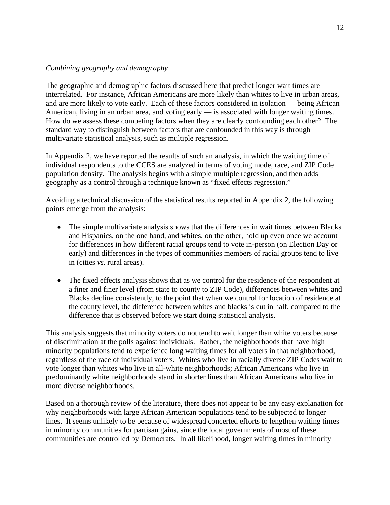## *Combining geography and demography*

The geographic and demographic factors discussed here that predict longer wait times are interrelated. For instance, African Americans are more likely than whites to live in urban areas, and are more likely to vote early. Each of these factors considered in isolation — being African American, living in an urban area, and voting early — is associated with longer waiting times. How do we assess these competing factors when they are clearly confounding each other? The standard way to distinguish between factors that are confounded in this way is through multivariate statistical analysis, such as multiple regression.

In Appendix 2, we have reported the results of such an analysis, in which the waiting time of individual respondents to the CCES are analyzed in terms of voting mode, race, and ZIP Code population density. The analysis begins with a simple multiple regression, and then adds geography as a control through a technique known as "fixed effects regression."

Avoiding a technical discussion of the statistical results reported in Appendix 2, the following points emerge from the analysis:

- The simple multivariate analysis shows that the differences in wait times between Blacks and Hispanics, on the one hand, and whites, on the other, hold up even once we account for differences in how different racial groups tend to vote in-person (on Election Day or early) and differences in the types of communities members of racial groups tend to live in (cities *vs.* rural areas).
- The fixed effects analysis shows that as we control for the residence of the respondent at a finer and finer level (from state to county to ZIP Code), differences between whites and Blacks decline consistently, to the point that when we control for location of residence at the county level, the difference between whites and blacks is cut in half, compared to the difference that is observed before we start doing statistical analysis.

This analysis suggests that minority voters do not tend to wait longer than white voters because of discrimination at the polls against individuals. Rather, the neighborhoods that have high minority populations tend to experience long waiting times for all voters in that neighborhood, regardless of the race of individual voters. Whites who live in racially diverse ZIP Codes wait to vote longer than whites who live in all-white neighborhoods; African Americans who live in predominantly white neighborhoods stand in shorter lines than African Americans who live in more diverse neighborhoods.

Based on a thorough review of the literature, there does not appear to be any easy explanation for why neighborhoods with large African American populations tend to be subjected to longer lines. It seems unlikely to be because of widespread concerted efforts to lengthen waiting times in minority communities for partisan gains, since the local governments of most of these communities are controlled by Democrats. In all likelihood, longer waiting times in minority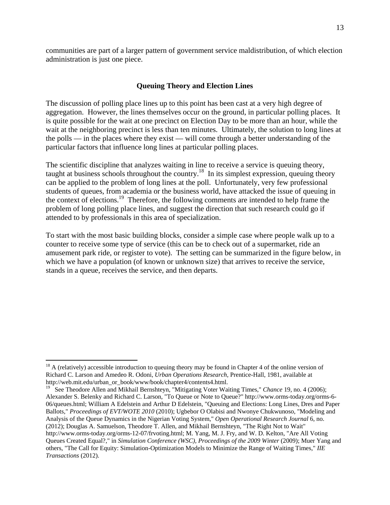communities are part of a larger pattern of government service maldistribution, of which election administration is just one piece.

#### **Queuing Theory and Election Lines**

The discussion of polling place lines up to this point has been cast at a very high degree of aggregation. However, the lines themselves occur on the ground, in particular polling places. It is quite possible for the wait at one precinct on Election Day to be more than an hour, while the wait at the neighboring precinct is less than ten minutes. Ultimately, the solution to long lines at the polls — in the places where they exist — will come through a better understanding of the particular factors that influence long lines at particular polling places.

The scientific discipline that analyzes waiting in line to receive a service is queuing theory, taught at business schools throughout the country.<sup>18</sup> In its simplest expression, queuing theory can be applied to the problem of long lines at the poll. Unfortunately, very few professional students of queues, from academia or the business world, have attacked the issue of queuing in the context of elections.<sup>19</sup> Therefore, the following comments are intended to help frame the problem of long polling place lines, and suggest the direction that such research could go if attended to by professionals in this area of specialization.

To start with the most basic building blocks, consider a simple case where people walk up to a counter to receive some type of service (this can be to check out of a supermarket, ride an amusement park ride, or register to vote). The setting can be summarized in the figure below, in which we have a population (of known or unknown size) that arrives to receive the service, stands in a queue, receives the service, and then departs.

1

 $18$  A (relatively) accessible introduction to queuing theory may be found in Chapter 4 of the online version of Richard C. Larson and Amedeo R. Odoni, *Urban Operations Research,* Prentice-Hall, 1981, available at http://web.mit.edu/urban\_or\_book/www/book/chapter4/contents4.html.

<sup>19</sup> See Theodore Allen and Mikhail Bernshteyn, "Mitigating Voter Waiting Times," *Chance* 19, no. 4 (2006); Alexander S. Belenky and Richard C. Larson, "To Queue or Note to Queue?" http://www.orms-today.org/orms-6- 06/queues.html; William A Edelstein and Arthur D Edelstein, "Queuing and Elections: Long Lines, Dres and Paper Ballots," *Proceedings of EVT/WOTE 2010* (2010); Ugbebor O Olabisi and Nwonye Chukwunoso, "Modeling and Analysis of the Queue Dynamics in the Nigerian Voting System," *Open Operational Research Journal* 6, no. (2012); Douglas A. Samuelson, Theodore T. Allen, and Mikhail Bernshteyn, "The Right Not to Wait" http://www.orms-today.org/orms-12-07/frvoting.html; M. Yang, M. J. Fry, and W. D. Kelton, "Are All Voting Queues Created Equal?," in *Simulation Conference (WSC), Proceedings of the 2009 Winter* (2009); Muer Yang and others, "The Call for Equity: Simulation-Optimization Models to Minimize the Range of Waiting Times," *IIE Transactions* (2012).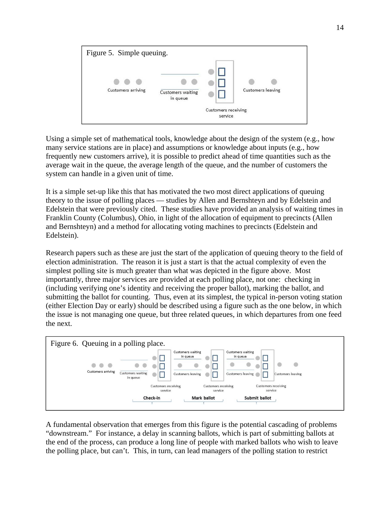

Using a simple set of mathematical tools, knowledge about the design of the system (e.g., how many service stations are in place) and assumptions or knowledge about inputs (e.g., how frequently new customers arrive), it is possible to predict ahead of time quantities such as the average wait in the queue, the average length of the queue, and the number of customers the system can handle in a given unit of time.

It is a simple set-up like this that has motivated the two most direct applications of queuing theory to the issue of polling places — studies by Allen and Bernshteyn and by Edelstein and Edelstein that were previously cited. These studies have provided an analysis of waiting times in Franklin County (Columbus), Ohio, in light of the allocation of equipment to precincts (Allen and Bernshteyn) and a method for allocating voting machines to precincts (Edelstein and Edelstein).

Research papers such as these are just the start of the application of queuing theory to the field of election administration. The reason it is just a start is that the actual complexity of even the simplest polling site is much greater than what was depicted in the figure above. Most importantly, three major services are provided at each polling place, not one: checking in (including verifying one's identity and receiving the proper ballot), marking the ballot, and submitting the ballot for counting. Thus, even at its simplest, the typical in-person voting station (either Election Day or early) should be described using a figure such as the one below, in which the issue is not managing one queue, but three related queues, in which departures from one feed the next.



A fundamental observation that emerges from this figure is the potential cascading of problems "downstream." For instance, a delay in scanning ballots, which is part of submitting ballots at the end of the process, can produce a long line of people with marked ballots who wish to leave the polling place, but can't. This, in turn, can lead managers of the polling station to restrict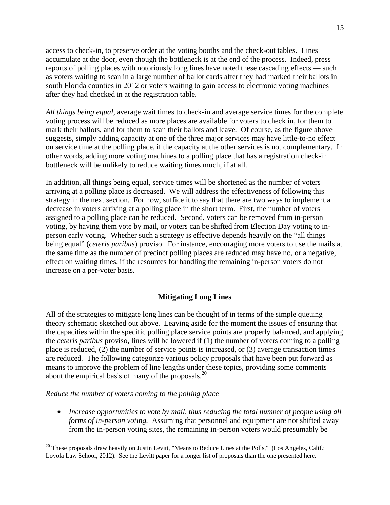access to check-in, to preserve order at the voting booths and the check-out tables. Lines accumulate at the door, even though the bottleneck is at the end of the process. Indeed, press reports of polling places with notoriously long lines have noted these cascading effects — such as voters waiting to scan in a large number of ballot cards after they had marked their ballots in south Florida counties in 2012 or voters waiting to gain access to electronic voting machines after they had checked in at the registration table.

*All things being equal,* average wait times to check-in and average service times for the complete voting process will be reduced as more places are available for voters to check in, for them to mark their ballots, and for them to scan their ballots and leave. Of course, as the figure above suggests, simply adding capacity at one of the three major services may have little-to-no effect on service time at the polling place, if the capacity at the other services is not complementary. In other words, adding more voting machines to a polling place that has a registration check-in bottleneck will be unlikely to reduce waiting times much, if at all.

In addition, all things being equal, service times will be shortened as the number of voters arriving at a polling place is decreased. We will address the effectiveness of following this strategy in the next section. For now, suffice it to say that there are two ways to implement a decrease in voters arriving at a polling place in the short term. First, the number of voters assigned to a polling place can be reduced. Second, voters can be removed from in-person voting, by having them vote by mail, or voters can be shifted from Election Day voting to inperson early voting. Whether such a strategy is effective depends heavily on the "all things being equal" (*ceteris paribus*) proviso. For instance, encouraging more voters to use the mails at the same time as the number of precinct polling places are reduced may have no, or a negative, effect on waiting times, if the resources for handling the remaining in-person voters do not increase on a per-voter basis.

## **Mitigating Long Lines**

All of the strategies to mitigate long lines can be thought of in terms of the simple queuing theory schematic sketched out above. Leaving aside for the moment the issues of ensuring that the capacities within the specific polling place service points are properly balanced, and applying the *ceteris paribus* proviso, lines will be lowered if (1) the number of voters coming to a polling place is reduced, (2) the number of service points is increased, or (3) average transaction times are reduced. The following categorize various policy proposals that have been put forward as means to improve the problem of line lengths under these topics, providing some comments about the empirical basis of many of the proposals.<sup>20</sup>

*Reduce the number of voters coming to the polling place*

1

• Increase opportunities to vote by mail, thus reducing the total number of people using all *forms of in-person voting.* Assuming that personnel and equipment are not shifted away from the in-person voting sites, the remaining in-person voters would presumably be

 $20$  These proposals draw heavily on Justin Levitt, "Means to Reduce Lines at the Polls," (Los Angeles, Calif.: Loyola Law School, 2012). See the Levitt paper for a longer list of proposals than the one presented here.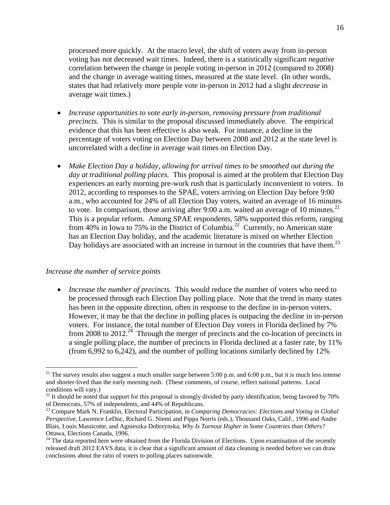processed more quickly. At the macro level, the shift of voters away from in-person voting has not decreased wait times. Indeed, there is a statistically significant *negative*  correlation between the change in people voting in-person in 2012 (compared to 2008) and the change in average waiting times, measured at the state level. (In other words, states that had relatively more people vote in-person in 2012 had a slight *decrease* in average wait times.)

- *Increase opportunities to vote early in-person, removing pressure from traditional precincts.* This is similar to the proposal discussed immediately above. The empirical evidence that this has been effective is also weak. For instance, a decline in the percentage of voters voting on Election Day between 2008 and 2012 at the state level is uncorrelated with a decline in average wait times on Election Day.
- *Make Election Day a holiday, allowing for arrival times to be smoothed out during the day at traditional polling places.* This proposal is aimed at the problem that Election Day experiences an early morning pre-work rush that is particularly inconvenient to voters. In 2012, according to responses to the SPAE, voters arriving on Election Day before 9:00 a.m., who accounted for 24% of all Election Day voters, waited an average of 16 minutes to vote. In comparison, those arriving after 9:00 a.m. waited an average of 10 minutes.<sup>21</sup> This is a popular reform. Among SPAE respondents, 58% supported this reform, ranging from 40% in Iowa to 75% in the District of Columbia.<sup>22</sup> Currently, no American state has an Election Day holiday, and the academic literature is mixed on whether Election Day holidays are associated with an increase in turnout in the countries that have them.<sup>23</sup>

#### *Increase the number of service points*

 $\overline{a}$ 

 *Increase the number of precincts.* This would reduce the number of voters who need to be processed through each Election Day polling place. Note that the trend in many states has been in the opposite direction, often in response to the decline in in-person voters. However, it may be that the decline in polling places is outpacing the decline in in-person voters. For instance, the total number of Election Day voters in Florida declined by 7% from 2008 to 2012.<sup>24</sup> Through the merger of precincts and the co-location of precincts in a single polling place, the number of precincts in Florida declined at a faster rate, by 11% (from 6,992 to 6,242), and the number of polling locations similarly declined by 12%

<sup>&</sup>lt;sup>21</sup> The survey results also suggest a much smaller surge between 5:00 p.m. and 6:00 p.m., but it is much less intense and shorter-lived than the early morning rush. (These comments, of course, reflect national patterns. Local conditions will vary.)

 $22$  It should be noted that support for this proposal is strongly divided by party identification, being favored by 70% of Democrats, 57% of independents, and 44% of Republicans.

<sup>23</sup> Compare Mark N. Franklin, Electoral Participation, in *Comparing Democracies: Elections and Voting in Global Perspective*, Lawrence LeDuc, Richard G. Niemi and Pippa Norris (eds.), Thousand Oaks, Calif., 1996 and Andre Blais, Louis Massicotte, and Agnieszka Dobrzynska, *Why Is Turnout Higher in Some Countries than Others?* Ottawa, Elections Canada, 1996.

 $24$  The data reported here were obtained from the Florida Division of Elections. Upon examination of the recently released draft 2012 EAVS data, it is clear that a significant amount of data cleaning is needed before we can draw conclusions about the ratio of voters to polling places nationwide.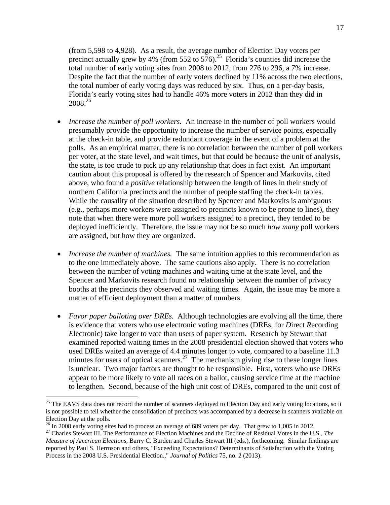(from 5,598 to 4,928). As a result, the average number of Election Day voters per precinct actually grew by 4% (from 552 to 576).<sup>25</sup> Florida's counties did increase the total number of early voting sites from 2008 to 2012, from 276 to 296, a 7% increase. Despite the fact that the number of early voters declined by 11% across the two elections, the total number of early voting days was reduced by six. Thus, on a per-day basis, Florida's early voting sites had to handle 46% more voters in 2012 than they did in 2008.26

- *Increase the number of poll workers.* An increase in the number of poll workers would presumably provide the opportunity to increase the number of service points, especially at the check-in table, and provide redundant coverage in the event of a problem at the polls. As an empirical matter, there is no correlation between the number of poll workers per voter, at the state level, and wait times, but that could be because the unit of analysis, the state, is too crude to pick up any relationship that does in fact exist. An important caution about this proposal is offered by the research of Spencer and Markovits, cited above, who found a *positive* relationship between the length of lines in their study of northern California precincts and the number of people staffing the check-in tables. While the causality of the situation described by Spencer and Markovits is ambiguous (e.g., perhaps more workers were assigned to precincts known to be prone to lines), they note that when there were more poll workers assigned to a precinct, they tended to be deployed inefficiently. Therefore, the issue may not be so much *how many* poll workers are assigned, but how they are organized.
- *Increase the number of machines.* The same intuition applies to this recommendation as to the one immediately above. The same cautions also apply. There is no correlation between the number of voting machines and waiting time at the state level, and the Spencer and Markovits research found no relationship between the number of privacy booths at the precincts they observed and waiting times. Again, the issue may be more a matter of efficient deployment than a matter of numbers.
- *Favor paper balloting over DREs.* Although technologies are evolving all the time, there is evidence that voters who use electronic voting machines (DREs, for *D*irect *R*ecording *E*lectronic) take longer to vote than users of paper system. Research by Stewart that examined reported waiting times in the 2008 presidential election showed that voters who used DREs waited an average of 4.4 minutes longer to vote, compared to a baseline 11.3 minutes for users of optical scanners.<sup>27</sup> The mechanism giving rise to these longer lines is unclear. Two major factors are thought to be responsible. First, voters who use DREs appear to be more likely to vote all races on a ballot, causing service time at the machine to lengthen. Second, because of the high unit cost of DREs, compared to the unit cost of

 $\overline{a}$ 

<sup>&</sup>lt;sup>25</sup> The EAVS data does not record the number of scanners deployed to Election Day and early voting locations, so it is not possible to tell whether the consolidation of precincts was accompanied by a decrease in scanners available on Election Day at the polls.

<sup>&</sup>lt;sup>26</sup> In 2008 early voting sites had to process an average of 689 voters per day. That grew to 1,005 in 2012.

<sup>27</sup> Charles Stewart III, The Performance of Election Machines and the Decline of Residual Votes in the U.S., *The Measure of American Elections,* Barry C. Burden and Charles Stewart III (eds.), forthcoming. Similar findings are reported by Paul S. Herrnson and others, "Exceeding Expectations? Determinants of Satisfaction with the Voting Process in the 2008 U.S. Presidential Election.," *Journal of Politics* 75, no. 2 (2013).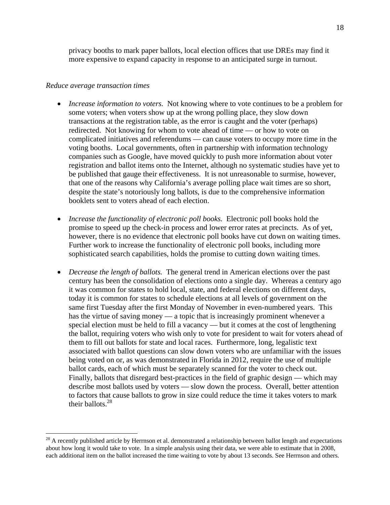privacy booths to mark paper ballots, local election offices that use DREs may find it more expensive to expand capacity in response to an anticipated surge in turnout.

#### *Reduce average transaction times*

1

- *Increase information to voters.* Not knowing where to vote continues to be a problem for some voters; when voters show up at the wrong polling place, they slow down transactions at the registration table, as the error is caught and the voter (perhaps) redirected. Not knowing for whom to vote ahead of time — or how to vote on complicated initiatives and referendums — can cause voters to occupy more time in the voting booths. Local governments, often in partnership with information technology companies such as Google, have moved quickly to push more information about voter registration and ballot items onto the Internet, although no systematic studies have yet to be published that gauge their effectiveness. It is not unreasonable to surmise, however, that one of the reasons why California's average polling place wait times are so short, despite the state's notoriously long ballots, is due to the comprehensive information booklets sent to voters ahead of each election.
- *Increase the functionality of electronic poll books.* Electronic poll books hold the promise to speed up the check-in process and lower error rates at precincts. As of yet, however, there is no evidence that electronic poll books have cut down on waiting times. Further work to increase the functionality of electronic poll books, including more sophisticated search capabilities, holds the promise to cutting down waiting times.
- *Decrease the length of ballots.* The general trend in American elections over the past century has been the consolidation of elections onto a single day. Whereas a century ago it was common for states to hold local, state, and federal elections on different days, today it is common for states to schedule elections at all levels of government on the same first Tuesday after the first Monday of November in even-numbered years. This has the virtue of saving money — a topic that is increasingly prominent whenever a special election must be held to fill a vacancy — but it comes at the cost of lengthening the ballot, requiring voters who wish only to vote for president to wait for voters ahead of them to fill out ballots for state and local races. Furthermore, long, legalistic text associated with ballot questions can slow down voters who are unfamiliar with the issues being voted on or, as was demonstrated in Florida in 2012, require the use of multiple ballot cards, each of which must be separately scanned for the voter to check out. Finally, ballots that disregard best-practices in the field of graphic design — which may describe most ballots used by voters — slow down the process. Overall, better attention to factors that cause ballots to grow in size could reduce the time it takes voters to mark their ballots. $^{28}$

<sup>&</sup>lt;sup>28</sup> A recently published article by Herrnson et al. demonstrated a relationship between ballot length and expectations about how long it would take to vote. In a simple analysis using their data, we were able to estimate that in 2008, each additional item on the ballot increased the time waiting to vote by about 13 seconds. See Herrnson and others.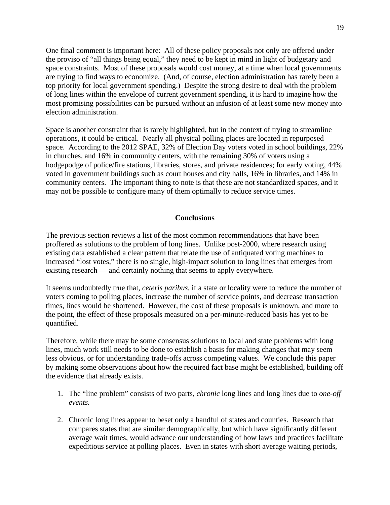One final comment is important here: All of these policy proposals not only are offered under the proviso of "all things being equal," they need to be kept in mind in light of budgetary and space constraints. Most of these proposals would cost money, at a time when local governments are trying to find ways to economize. (And, of course, election administration has rarely been a top priority for local government spending.) Despite the strong desire to deal with the problem of long lines within the envelope of current government spending, it is hard to imagine how the most promising possibilities can be pursued without an infusion of at least some new money into election administration.

Space is another constraint that is rarely highlighted, but in the context of trying to streamline operations, it could be critical. Nearly all physical polling places are located in repurposed space. According to the 2012 SPAE, 32% of Election Day voters voted in school buildings, 22% in churches, and 16% in community centers, with the remaining 30% of voters using a hodgepodge of police/fire stations, libraries, stores, and private residences; for early voting, 44% voted in government buildings such as court houses and city halls, 16% in libraries, and 14% in community centers. The important thing to note is that these are not standardized spaces, and it may not be possible to configure many of them optimally to reduce service times.

### **Conclusions**

The previous section reviews a list of the most common recommendations that have been proffered as solutions to the problem of long lines. Unlike post-2000, where research using existing data established a clear pattern that relate the use of antiquated voting machines to increased "lost votes," there is no single, high-impact solution to long lines that emerges from existing research — and certainly nothing that seems to apply everywhere.

It seems undoubtedly true that, *ceteris paribus,* if a state or locality were to reduce the number of voters coming to polling places, increase the number of service points, and decrease transaction times, lines would be shortened. However, the cost of these proposals is unknown, and more to the point, the effect of these proposals measured on a per-minute-reduced basis has yet to be quantified.

Therefore, while there may be some consensus solutions to local and state problems with long lines, much work still needs to be done to establish a basis for making changes that may seem less obvious, or for understanding trade-offs across competing values. We conclude this paper by making some observations about how the required fact base might be established, building off the evidence that already exists.

- 1. The "line problem" consists of two parts, *chronic* long lines and long lines due to *one-off events.*
- 2. Chronic long lines appear to beset only a handful of states and counties. Research that compares states that are similar demographically, but which have significantly different average wait times, would advance our understanding of how laws and practices facilitate expeditious service at polling places. Even in states with short average waiting periods,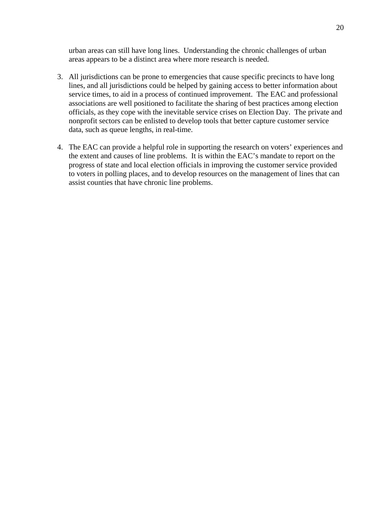urban areas can still have long lines. Understanding the chronic challenges of urban areas appears to be a distinct area where more research is needed.

- 3. All jurisdictions can be prone to emergencies that cause specific precincts to have long lines, and all jurisdictions could be helped by gaining access to better information about service times, to aid in a process of continued improvement. The EAC and professional associations are well positioned to facilitate the sharing of best practices among election officials, as they cope with the inevitable service crises on Election Day. The private and nonprofit sectors can be enlisted to develop tools that better capture customer service data, such as queue lengths, in real-time.
- 4. The EAC can provide a helpful role in supporting the research on voters' experiences and the extent and causes of line problems. It is within the EAC's mandate to report on the progress of state and local election officials in improving the customer service provided to voters in polling places, and to develop resources on the management of lines that can assist counties that have chronic line problems.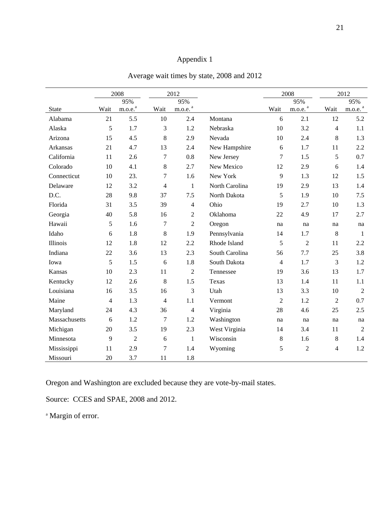# Appendix 1

|               |      | 2008                |                | 2012                  |                |                | 2008                  |                | 2012                  |
|---------------|------|---------------------|----------------|-----------------------|----------------|----------------|-----------------------|----------------|-----------------------|
|               |      | 95%                 |                | 95%                   |                |                | 95%                   |                | 95%                   |
| <b>State</b>  | Wait | m.o.e. <sup>a</sup> | Wait           | $m.o.e.$ <sup>a</sup> |                | Wait           | $m.o.e.$ <sup>a</sup> | Wait           | $m.o.e.$ <sup>a</sup> |
| Alabama       | 21   | 5.5                 | 10             | 2.4                   | Montana        | 6              | 2.1                   | 12             | 5.2                   |
| Alaska        | 5    | 1.7                 | 3              | 1.2                   | Nebraska       | 10             | 3.2                   | $\overline{4}$ | 1.1                   |
| Arizona       | 15   | 4.5                 | 8              | 2.9                   | Nevada         | 10             | 2.4                   | 8              | 1.3                   |
| Arkansas      | 21   | 4.7                 | 13             | 2.4                   | New Hampshire  | 6              | 1.7                   | 11             | 2.2                   |
| California    | 11   | 2.6                 | 7              | 0.8                   | New Jersey     | 7              | 1.5                   | 5              | 0.7                   |
| Colorado      | 10   | 4.1                 | $\,8\,$        | 2.7                   | New Mexico     | 12             | 2.9                   | 6              | 1.4                   |
| Connecticut   | 10   | 23.                 | 7              | 1.6                   | New York       | 9              | 1.3                   | 12             | 1.5                   |
| Delaware      | 12   | 3.2                 | $\overline{4}$ | $\mathbf{1}$          | North Carolina | 19             | 2.9                   | 13             | 1.4                   |
| D.C.          | 28   | 9.8                 | 37             | 7.5                   | North Dakota   | 5              | 1.9                   | 10             | 7.5                   |
| Florida       | 31   | 3.5                 | 39             | 4                     | Ohio           | 19             | 2.7                   | 10             | 1.3                   |
| Georgia       | 40   | 5.8                 | 16             | $\overline{c}$        | Oklahoma       | 22             | 4.9                   | 17             | 2.7                   |
| Hawaii        | 5    | 1.6                 | $\tau$         | $\overline{2}$        | Oregon         | na             | na                    | na             | na                    |
| Idaho         | 6    | 1.8                 | $\,8\,$        | 1.9                   | Pennsylvania   | 14             | 1.7                   | $\,8\,$        | $\mathbf{1}$          |
| Illinois      | 12   | 1.8                 | 12             | 2.2                   | Rhode Island   | 5              | $\overline{2}$        | 11             | 2.2                   |
| Indiana       | 22   | 3.6                 | 13             | 2.3                   | South Carolina | 56             | 7.7                   | 25             | 3.8                   |
| Iowa          | 5    | 1.5                 | 6              | 1.8                   | South Dakota   | $\overline{4}$ | 1.7                   | 3              | 1.2                   |
| Kansas        | 10   | 2.3                 | 11             | $\overline{2}$        | Tennessee      | 19             | 3.6                   | 13             | 1.7                   |
| Kentucky      | 12   | 2.6                 | 8              | 1.5                   | Texas          | 13             | 1.4                   | 11             | 1.1                   |
| Louisiana     | 16   | 3.5                 | 16             | 3                     | Utah           | 13             | 3.3                   | 10             | $\overline{2}$        |
| Maine         | 4    | 1.3                 | $\overline{4}$ | 1.1                   | Vermont        | $\overline{2}$ | 1.2                   | $\overline{2}$ | 0.7                   |
| Maryland      | 24   | 4.3                 | 36             | $\overline{4}$        | Virginia       | 28             | 4.6                   | 25             | 2.5                   |
| Massachusetts | 6    | 1.2                 | 7              | 1.2                   | Washington     | na             | na                    | na             | na                    |
| Michigan      | 20   | 3.5                 | 19             | 2.3                   | West Virginia  | 14             | 3.4                   | 11             | $\overline{2}$        |
| Minnesota     | 9    | $\overline{2}$      | 6              | $\mathbf{1}$          | Wisconsin      | 8              | 1.6                   | 8              | 1.4                   |
| Mississippi   | 11   | 2.9                 | 7              | 1.4                   | Wyoming        | 5              | $\overline{c}$        | 4              | 1.2                   |
| Missouri      | 20   | 3.7                 | 11             | 1.8                   |                |                |                       |                |                       |

Average wait times by state, 2008 and 2012

Oregon and Washington are excluded because they are vote-by-mail states.

Source: CCES and SPAE, 2008 and 2012.

<sup>a</sup> Margin of error.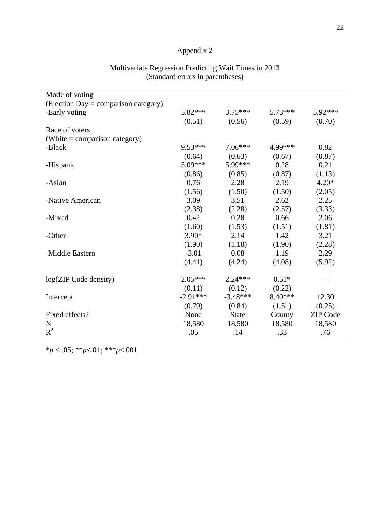# Appendix 2

| Mode of voting                       |            |              |           |                 |
|--------------------------------------|------------|--------------|-----------|-----------------|
| (Election Day = comparison category) |            |              |           |                 |
| -Early voting                        | $5.82***$  | $3.75***$    | $5.73***$ | 5.92***         |
|                                      | (0.51)     | (0.56)       | (0.59)    | (0.70)          |
| Race of voters                       |            |              |           |                 |
| (White = comparison category)        |            |              |           |                 |
| -Black                               | $9.53***$  | $7.06***$    | 4.99***   | 0.82            |
|                                      | (0.64)     | (0.63)       | (0.67)    | (0.87)          |
| -Hispanic                            | $5.09***$  | 5.99***      | 0.28      | 0.21            |
|                                      | (0.86)     | (0.85)       | (0.87)    | (1.13)          |
| -Asian                               | 0.76       | 2.28         | 2.19      | $4.20*$         |
|                                      | (1.56)     | (1.50)       | (1.50)    | (2.05)          |
| -Native American                     | 3.09       | 3.51         | 2.62      | 2.25            |
|                                      | (2.38)     | (2.28)       | (2.57)    | (3.33)          |
| -Mixed                               | 0.42       | 0.28         | 0.66      | 2.06            |
|                                      | (1.60)     | (1.53)       | (1.51)    | (1.81)          |
| -Other                               | $3.90*$    | 2.14         | 1.42      | 3.21            |
|                                      | (1.90)     | (1.18)       | (1.90)    | (2.28)          |
| -Middle Eastern                      | $-3.01$    | 0.08         | 1.19      | 2.29            |
|                                      | (4.41)     | (4.24)       | (4.08)    | (5.92)          |
| log(ZIP Code density)                | $2.05***$  | $2.24***$    | $0.51*$   |                 |
|                                      | (0.11)     | (0.12)       | (0.22)    |                 |
| Intercept                            | $-2.91***$ | $-3.48***$   | $8.40***$ | 12.30           |
|                                      | (0.79)     | (0.84)       | (1.51)    | (0.25)          |
| Fixed effects?                       | None       | <b>State</b> | County    | <b>ZIP</b> Code |
| $\mathbf N$                          | 18,580     | 18,580       | 18,580    | 18,580          |
| $R^2$                                | .05        | .14          | .33       | .76             |

## Multivariate Regression Predicting Wait Times in 2013 (Standard errors in parentheses)

\**p* < .05; \*\**p*<.01; \*\*\**p*<.001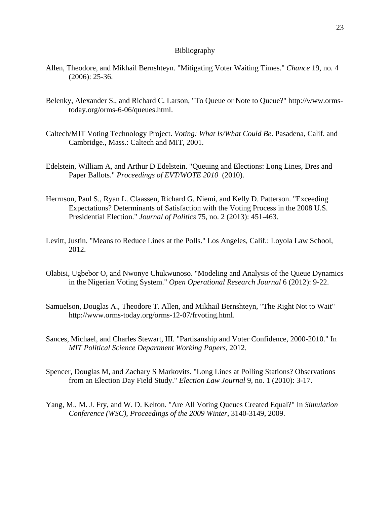#### Bibliography

- Allen, Theodore, and Mikhail Bernshteyn. "Mitigating Voter Waiting Times." *Chance* 19, no. 4 (2006): 25-36.
- Belenky, Alexander S., and Richard C. Larson, "To Queue or Note to Queue?" http://www.ormstoday.org/orms-6-06/queues.html.
- Caltech/MIT Voting Technology Project. *Voting: What Is/What Could Be*. Pasadena, Calif. and Cambridge., Mass.: Caltech and MIT, 2001.
- Edelstein, William A, and Arthur D Edelstein. "Queuing and Elections: Long Lines, Dres and Paper Ballots." *Proceedings of EVT/WOTE 2010* (2010).
- Herrnson, Paul S., Ryan L. Claassen, Richard G. Niemi, and Kelly D. Patterson. "Exceeding Expectations? Determinants of Satisfaction with the Voting Process in the 2008 U.S. Presidential Election." *Journal of Politics* 75, no. 2 (2013): 451-463.
- Levitt, Justin. "Means to Reduce Lines at the Polls." Los Angeles, Calif.: Loyola Law School, 2012.
- Olabisi, Ugbebor O, and Nwonye Chukwunoso. "Modeling and Analysis of the Queue Dynamics in the Nigerian Voting System." *Open Operational Research Journal* 6 (2012): 9-22.
- Samuelson, Douglas A., Theodore T. Allen, and Mikhail Bernshteyn, "The Right Not to Wait" http://www.orms-today.org/orms-12-07/frvoting.html.
- Sances, Michael, and Charles Stewart, III. "Partisanship and Voter Confidence, 2000-2010." In *MIT Political Science Department Working Papers*, 2012.
- Spencer, Douglas M, and Zachary S Markovits. "Long Lines at Polling Stations? Observations from an Election Day Field Study." *Election Law Journal* 9, no. 1 (2010): 3-17.
- Yang, M., M. J. Fry, and W. D. Kelton. "Are All Voting Queues Created Equal?" In *Simulation Conference (WSC), Proceedings of the 2009 Winter*, 3140-3149, 2009.